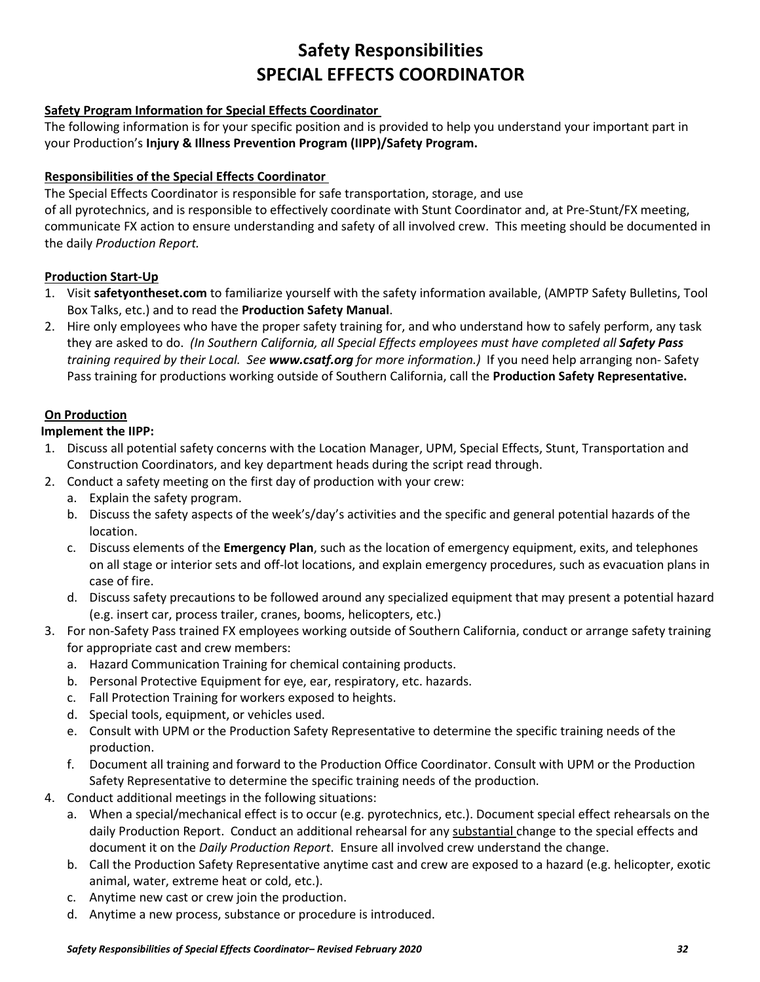## **Safety Responsibilities SPECIAL EFFECTS COORDINATOR**

## **Safety Program Information for Special Effects Coordinator**

The following information is for your specific position and is provided to help you understand your important part in your Production's **Injury & Illness Prevention Program (IIPP)/Safety Program.**

### **Responsibilities of the Special Effects Coordinator**

The Special Effects Coordinator is responsible for safe transportation, storage, and use of all pyrotechnics, and is responsible to effectively coordinate with Stunt Coordinator and, at Pre-Stunt/FX meeting, communicate FX action to ensure understanding and safety of all involved crew. This meeting should be documented in the daily *Production Report.* 

### **Production Start-Up**

- 1. Visit **safetyontheset.com** to familiarize yourself with the safety information available, (AMPTP Safety Bulletins, Tool Box Talks, etc.) and to read the **Production Safety Manual**.
- 2. Hire only employees who have the proper safety training for, and who understand how to safely perform, any task they are asked to do. *(In Southern California, all Special Effects employees must have completed all Safety Pass training required by their Local. See www.csatf.org for more information.)* If you need help arranging non- Safety Pass training for productions working outside of Southern California, call the **Production Safety Representative.**

## **On Production**

### **Implement the IIPP:**

- 1. Discuss all potential safety concerns with the Location Manager, UPM, Special Effects, Stunt, Transportation and Construction Coordinators, and key department heads during the script read through.
- 2. Conduct a safety meeting on the first day of production with your crew:
	- a. Explain the safety program.
	- b. Discuss the safety aspects of the week's/day's activities and the specific and general potential hazards of the location.
	- c. Discuss elements of the **Emergency Plan**, such as the location of emergency equipment, exits, and telephones on all stage or interior sets and off-lot locations, and explain emergency procedures, such as evacuation plans in case of fire.
	- d. Discuss safety precautions to be followed around any specialized equipment that may present a potential hazard (e.g. insert car, process trailer, cranes, booms, helicopters, etc.)
- 3. For non-Safety Pass trained FX employees working outside of Southern California, conduct or arrange safety training for appropriate cast and crew members:
	- a. Hazard Communication Training for chemical containing products.
	- b. Personal Protective Equipment for eye, ear, respiratory, etc. hazards.
	- c. Fall Protection Training for workers exposed to heights.
	- d. Special tools, equipment, or vehicles used.
	- e. Consult with UPM or the Production Safety Representative to determine the specific training needs of the production.
	- f. Document all training and forward to the Production Office Coordinator. Consult with UPM or the Production Safety Representative to determine the specific training needs of the production.
- 4. Conduct additional meetings in the following situations:
	- a. When a special/mechanical effect is to occur (e.g. pyrotechnics, etc.). Document special effect rehearsals on the daily Production Report. Conduct an additional rehearsal for any substantial change to the special effects and document it on the *Daily Production Report*. Ensure all involved crew understand the change.
	- b. Call the Production Safety Representative anytime cast and crew are exposed to a hazard (e.g. helicopter, exotic animal, water, extreme heat or cold, etc.).
	- c. Anytime new cast or crew join the production.
	- d. Anytime a new process, substance or procedure is introduced.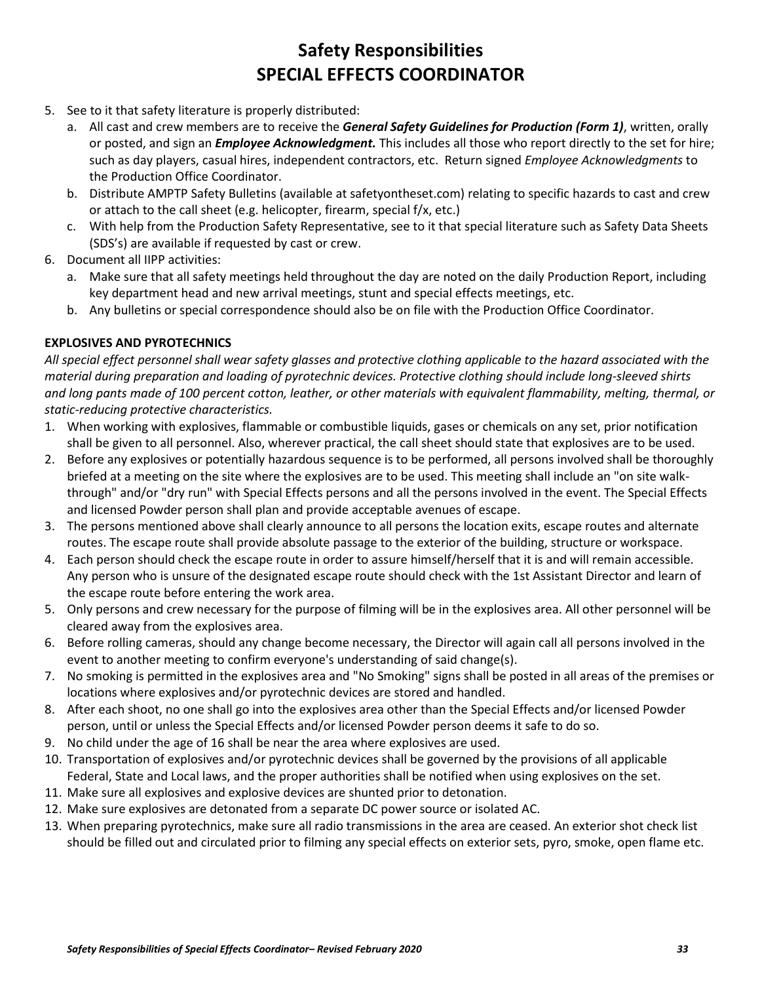# **Safety Responsibilities SPECIAL EFFECTS COORDINATOR**

- 5. See to it that safety literature is properly distributed:
	- a. All cast and crew members are to receive the *General Safety Guidelines for Production (Form 1)*, written, orally or posted, and sign an *Employee Acknowledgment.* This includes all those who report directly to the set for hire; such as day players, casual hires, independent contractors, etc. Return signed *Employee Acknowledgments* to the Production Office Coordinator.
	- b. Distribute AMPTP Safety Bulletins (available at safetyontheset.com) relating to specific hazards to cast and crew or attach to the call sheet (e.g. helicopter, firearm, special f/x, etc.)
	- c. With help from the Production Safety Representative, see to it that special literature such as Safety Data Sheets (SDS's) are available if requested by cast or crew.
- 6. Document all IIPP activities:
	- a. Make sure that all safety meetings held throughout the day are noted on the daily Production Report, including key department head and new arrival meetings, stunt and special effects meetings, etc.
	- b. Any bulletins or special correspondence should also be on file with the Production Office Coordinator.

## **EXPLOSIVES AND PYROTECHNICS**

*All special effect personnel shall wear safety glasses and protective clothing applicable to the hazard associated with the material during preparation and loading of pyrotechnic devices. Protective clothing should include long-sleeved shirts and long pants made of 100 percent cotton, leather, or other materials with equivalent flammability, melting, thermal, or static-reducing protective characteristics.* 

- 1. When working with explosives, flammable or combustible liquids, gases or chemicals on any set, prior notification shall be given to all personnel. Also, wherever practical, the call sheet should state that explosives are to be used.
- 2. Before any explosives or potentially hazardous sequence is to be performed, all persons involved shall be thoroughly briefed at a meeting on the site where the explosives are to be used. This meeting shall include an "on site walkthrough" and/or "dry run" with Special Effects persons and all the persons involved in the event. The Special Effects and licensed Powder person shall plan and provide acceptable avenues of escape.
- 3. The persons mentioned above shall clearly announce to all persons the location exits, escape routes and alternate routes. The escape route shall provide absolute passage to the exterior of the building, structure or workspace.
- 4. Each person should check the escape route in order to assure himself/herself that it is and will remain accessible. Any person who is unsure of the designated escape route should check with the 1st Assistant Director and learn of the escape route before entering the work area.
- 5. Only persons and crew necessary for the purpose of filming will be in the explosives area. All other personnel will be cleared away from the explosives area.
- 6. Before rolling cameras, should any change become necessary, the Director will again call all persons involved in the event to another meeting to confirm everyone's understanding of said change(s).
- 7. No smoking is permitted in the explosives area and "No Smoking" signs shall be posted in all areas of the premises or locations where explosives and/or pyrotechnic devices are stored and handled.
- 8. After each shoot, no one shall go into the explosives area other than the Special Effects and/or licensed Powder person, until or unless the Special Effects and/or licensed Powder person deems it safe to do so.
- 9. No child under the age of 16 shall be near the area where explosives are used.
- 10. Transportation of explosives and/or pyrotechnic devices shall be governed by the provisions of all applicable Federal, State and Local laws, and the proper authorities shall be notified when using explosives on the set.
- 11. Make sure all explosives and explosive devices are shunted prior to detonation.
- 12. Make sure explosives are detonated from a separate DC power source or isolated AC.
- 13. When preparing pyrotechnics, make sure all radio transmissions in the area are ceased. An exterior shot check list should be filled out and circulated prior to filming any special effects on exterior sets, pyro, smoke, open flame etc.